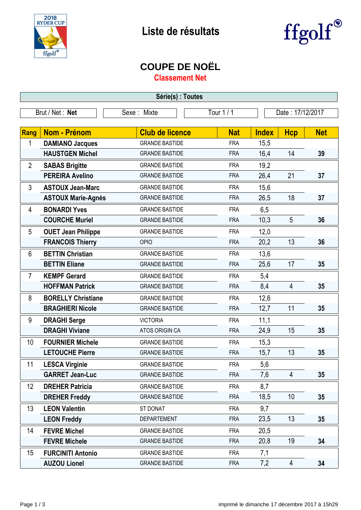



## **COUPE DE NOËL**

**Classement Net**

| Série(s) : Toutes                                                |                           |                        |            |              |                |            |  |
|------------------------------------------------------------------|---------------------------|------------------------|------------|--------------|----------------|------------|--|
| Brut / Net: Net<br>Tour 1 / 1<br>Date: 17/12/2017<br>Sexe: Mixte |                           |                        |            |              |                |            |  |
|                                                                  |                           |                        |            |              |                |            |  |
| Rang                                                             | <b>Nom - Prénom</b>       | <b>Club de licence</b> | <b>Nat</b> | <b>Index</b> | <b>Hcp</b>     | <b>Net</b> |  |
| 1                                                                | <b>DAMIANO Jacques</b>    | <b>GRANDE BASTIDE</b>  | <b>FRA</b> | 15,5         |                |            |  |
|                                                                  | <b>HAUSTGEN Michel</b>    | <b>GRANDE BASTIDE</b>  | <b>FRA</b> | 16,4         | 14             | 39         |  |
| $\overline{2}$                                                   | <b>SABAS Brigitte</b>     | <b>GRANDE BASTIDE</b>  | <b>FRA</b> | 19,2         |                |            |  |
|                                                                  | <b>PEREIRA Avelino</b>    | <b>GRANDE BASTIDE</b>  | <b>FRA</b> | 26,4         | 21             | 37         |  |
| 3                                                                | <b>ASTOUX Jean-Marc</b>   | <b>GRANDE BASTIDE</b>  | <b>FRA</b> | 15,6         |                |            |  |
|                                                                  | <b>ASTOUX Marie-Agnès</b> | <b>GRANDE BASTIDE</b>  | <b>FRA</b> | 26,5         | 18             | 37         |  |
| 4                                                                | <b>BONARDI Yves</b>       | <b>GRANDE BASTIDE</b>  | <b>FRA</b> | 6,5          |                |            |  |
|                                                                  | <b>COURCHE Muriel</b>     | <b>GRANDE BASTIDE</b>  | <b>FRA</b> | 10,3         | 5              | 36         |  |
| 5                                                                | <b>OUET Jean Philippe</b> | <b>GRANDE BASTIDE</b>  | <b>FRA</b> | 12,0         |                |            |  |
|                                                                  | <b>FRANCOIS Thierry</b>   | <b>OPIO</b>            | <b>FRA</b> | 20,2         | 13             | 36         |  |
| 6                                                                | <b>BETTIN Christian</b>   | <b>GRANDE BASTIDE</b>  | <b>FRA</b> | 13,6         |                |            |  |
|                                                                  | <b>BETTIN Eliane</b>      | <b>GRANDE BASTIDE</b>  | <b>FRA</b> | 25,6         | 17             | 35         |  |
| $\overline{7}$                                                   | <b>KEMPF Gerard</b>       | <b>GRANDE BASTIDE</b>  | <b>FRA</b> | 5,4          |                |            |  |
|                                                                  | <b>HOFFMAN Patrick</b>    | <b>GRANDE BASTIDE</b>  | <b>FRA</b> | 8,4          | $\overline{4}$ | 35         |  |
| 8                                                                | <b>BORELLY Christiane</b> | <b>GRANDE BASTIDE</b>  | <b>FRA</b> | 12,6         |                |            |  |
|                                                                  | <b>BRAGHIERI Nicole</b>   | <b>GRANDE BASTIDE</b>  | <b>FRA</b> | 12,7         | 11             | 35         |  |
| 9                                                                | <b>DRAGHI Serge</b>       | <b>VICTORIA</b>        | <b>FRA</b> | 11,1         |                |            |  |
|                                                                  | <b>DRAGHI Viviane</b>     | ATOS ORIGIN CA         | <b>FRA</b> | 24,9         | 15             | 35         |  |
| 10                                                               | <b>FOURNIER Michele</b>   | <b>GRANDE BASTIDE</b>  | <b>FRA</b> | 15,3         |                |            |  |
|                                                                  | <b>LETOUCHE Pierre</b>    | <b>GRANDE BASTIDE</b>  | <b>FRA</b> | 15,7         | 13             | 35         |  |
| 11                                                               | <b>LESCA Virginie</b>     | <b>GRANDE BASTIDE</b>  | <b>FRA</b> | 5,6          |                |            |  |
|                                                                  | <b>GARRET Jean-Luc</b>    | <b>GRANDE BASTIDE</b>  | <b>FRA</b> | 7,6          | 4              | 35         |  |
| 12                                                               | <b>DREHER Patricia</b>    | <b>GRANDE BASTIDE</b>  | <b>FRA</b> | 8,7          |                |            |  |
|                                                                  | <b>DREHER Freddy</b>      | <b>GRANDE BASTIDE</b>  | <b>FRA</b> | 18,5         | 10             | 35         |  |
| 13                                                               | <b>LEON Valentin</b>      | ST DONAT               | <b>FRA</b> | 9,7          |                |            |  |
|                                                                  | <b>LEON Freddy</b>        | <b>DEPARTEMENT</b>     | <b>FRA</b> | 23,5         | 13             | 35         |  |
| 14                                                               | <b>FEVRE Michel</b>       | <b>GRANDE BASTIDE</b>  | <b>FRA</b> | 20,5         |                |            |  |
|                                                                  | <b>FEVRE Michele</b>      | <b>GRANDE BASTIDE</b>  | <b>FRA</b> | 20,8         | 19             | 34         |  |
| 15                                                               | <b>FURCINITI Antonio</b>  | <b>GRANDE BASTIDE</b>  | <b>FRA</b> | 7,1          |                |            |  |
|                                                                  | <b>AUZOU Lionel</b>       | <b>GRANDE BASTIDE</b>  | <b>FRA</b> | 7,2          | 4              | 34         |  |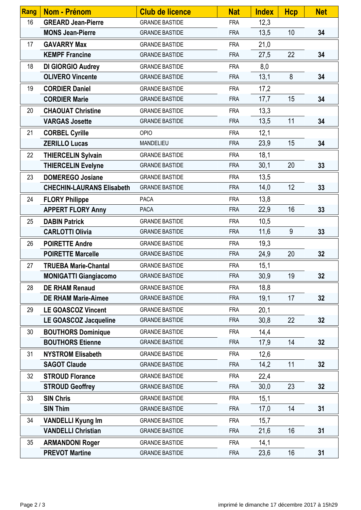| Rang | Nom - Prénom                     | <b>Club de licence</b> | <b>Nat</b> | <b>Index</b> | <b>Hcp</b> | <b>Net</b> |
|------|----------------------------------|------------------------|------------|--------------|------------|------------|
| 16   | <b>GREARD Jean-Pierre</b>        | <b>GRANDE BASTIDE</b>  | <b>FRA</b> | 12,3         |            |            |
|      | <b>MONS Jean-Pierre</b>          | <b>GRANDE BASTIDE</b>  | <b>FRA</b> | 13,5         | 10         | 34         |
| 17   | <b>GAVARRY Max</b>               | <b>GRANDE BASTIDE</b>  | <b>FRA</b> | 21,0         |            |            |
|      | <b>KEMPF Francine</b>            | <b>GRANDE BASTIDE</b>  | <b>FRA</b> | 27,5         | 22         | 34         |
| 18   | <b>DI GIORGIO Audrey</b>         | <b>GRANDE BASTIDE</b>  | <b>FRA</b> | 8,0          |            |            |
|      | <b>OLIVERO Vincente</b>          | <b>GRANDE BASTIDE</b>  | <b>FRA</b> | 13,1         | 8          | 34         |
| 19   | <b>CORDIER Daniel</b>            | <b>GRANDE BASTIDE</b>  | <b>FRA</b> | 17,2         |            |            |
|      | <b>CORDIER Marie</b>             | <b>GRANDE BASTIDE</b>  | <b>FRA</b> | 17,7         | 15         | 34         |
| 20   | <b>CHAOUAT Christine</b>         | <b>GRANDE BASTIDE</b>  | <b>FRA</b> | 13,3         |            |            |
|      | <b>VARGAS Josette</b>            | <b>GRANDE BASTIDE</b>  | <b>FRA</b> | 13,5         | 11         | 34         |
| 21   | <b>CORBEL Cyrille</b>            | <b>OPIO</b>            | <b>FRA</b> | 12,1         |            |            |
|      | <b>ZERILLO Lucas</b>             | MANDELIEU              | <b>FRA</b> | 23,9         | 15         | 34         |
| 22   | <b>THIERCELIN Sylvain</b>        | <b>GRANDE BASTIDE</b>  | <b>FRA</b> | 18,1         |            |            |
|      | <b>THIERCELIN Evelyne</b>        | <b>GRANDE BASTIDE</b>  | <b>FRA</b> | 30,1         | 20         | 33         |
| 23   | <b>DOMEREGO Josiane</b>          | <b>GRANDE BASTIDE</b>  | <b>FRA</b> | 13,5         |            |            |
|      | <b>CHECHIN-LAURANS Elisabeth</b> | <b>GRANDE BASTIDE</b>  | <b>FRA</b> | 14,0         | 12         | 33         |
| 24   | <b>FLORY Philippe</b>            | <b>PACA</b>            | <b>FRA</b> | 13,8         |            |            |
|      | <b>APPERT FLORY Anny</b>         | <b>PACA</b>            | <b>FRA</b> | 22,9         | 16         | 33         |
| 25   | <b>DABIN Patrick</b>             | <b>GRANDE BASTIDE</b>  | <b>FRA</b> | 10,5         |            |            |
|      | <b>CARLOTTI Olivia</b>           | <b>GRANDE BASTIDE</b>  | <b>FRA</b> | 11,6         | 9          | 33         |
| 26   | <b>POIRETTE Andre</b>            | <b>GRANDE BASTIDE</b>  | <b>FRA</b> | 19,3         |            |            |
|      | <b>POIRETTE Marcelle</b>         | <b>GRANDE BASTIDE</b>  | <b>FRA</b> | 24,9         | 20         | 32         |
| 27   | <b>TRUEBA Marie-Chantal</b>      | <b>GRANDE BASTIDE</b>  | <b>FRA</b> | 15,1         |            |            |
|      | <b>MONIGATTI Giangiacomo</b>     | <b>GRANDE BASTIDE</b>  | <b>FRA</b> | 30,9         | 19         | 32         |
| 28   | <b>DE RHAM Renaud</b>            | <b>GRANDE BASTIDE</b>  | <b>FRA</b> | 18,8         |            |            |
|      | <b>DE RHAM Marie-Aimee</b>       | <b>GRANDE BASTIDE</b>  | <b>FRA</b> | 19,1         | 17         | 32         |
| 29   | <b>LE GOASCOZ Vincent</b>        | <b>GRANDE BASTIDE</b>  | <b>FRA</b> | 20,1         |            |            |
|      | LE GOASCOZ Jacqueline            | <b>GRANDE BASTIDE</b>  | <b>FRA</b> | 30,8         | 22         | 32         |
| 30   | <b>BOUTHORS Dominique</b>        | <b>GRANDE BASTIDE</b>  | <b>FRA</b> | 14,4         |            |            |
|      | <b>BOUTHORS Etienne</b>          | <b>GRANDE BASTIDE</b>  | <b>FRA</b> | 17,9         | 14         | 32         |
| 31   | <b>NYSTROM Elisabeth</b>         | <b>GRANDE BASTIDE</b>  | <b>FRA</b> | 12,6         |            |            |
|      | <b>SAGOT Claude</b>              | <b>GRANDE BASTIDE</b>  | <b>FRA</b> | 14,2         | 11         | 32         |
| 32   | <b>STROUD Florance</b>           | <b>GRANDE BASTIDE</b>  | <b>FRA</b> | 22,4         |            |            |
|      | <b>STROUD Geoffrey</b>           | <b>GRANDE BASTIDE</b>  | <b>FRA</b> | 30,0         | 23         | 32         |
| 33   | <b>SIN Chris</b>                 | <b>GRANDE BASTIDE</b>  | <b>FRA</b> | 15,1         |            |            |
|      | <b>SIN Thim</b>                  | <b>GRANDE BASTIDE</b>  | <b>FRA</b> | 17,0         | 14         | 31         |
| 34   | <b>VANDELLI Kyung Im</b>         | <b>GRANDE BASTIDE</b>  | <b>FRA</b> | 15,7         |            |            |
|      | <b>VANDELLI Christian</b>        | <b>GRANDE BASTIDE</b>  | <b>FRA</b> | 21,6         | 16         | 31         |
| 35   | <b>ARMANDONI Roger</b>           | <b>GRANDE BASTIDE</b>  | <b>FRA</b> | 14,1         |            |            |
|      | <b>PREVOT Martine</b>            | <b>GRANDE BASTIDE</b>  | <b>FRA</b> | 23,6         | 16         | 31         |